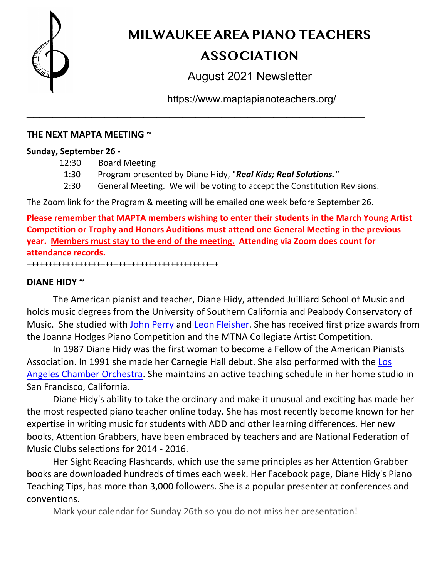

**MILWAUKEE AREA PIANO TEACHERS** 

# **ASSOCIATION**

August 2021 Newsletter

https://www.maptapianoteachers.org/

### **THE NEXT MAPTA MEETING ~**

### **Sunday, September 26 -**

- 12:30 Board Meeting
- 1:30 Program presented by Diane Hidy, "*Real Kids; Real Solutions."*

\_\_\_\_\_\_\_\_\_\_\_\_\_\_\_\_\_\_\_\_\_\_\_\_\_\_\_\_\_\_\_\_\_\_\_\_\_\_\_\_\_\_\_\_\_\_\_\_\_\_\_\_

2:30 General Meeting. We will be voting to accept the Constitution Revisions.

The Zoom link for the Program & meeting will be emailed one week before September 26.

**Please remember that MAPTA members wishing to enter their students in the March Young Artist Competition or Trophy and Honors Auditions must attend one General Meeting in the previous year. Members must stay to the end of the meeting. Attending via Zoom does count for attendance records.** ++++++++++++++++++++++++++++++++++++++++++++

### **DIANE HIDY ~**

The American pianist and teacher, Diane Hidy, attended Juilliard School of Music and holds music degrees from the University of Southern California and Peabody Conservatory of Music. She studied with John Perry and Leon Fleisher. She has received first prize awards from the Joanna Hodges Piano Competition and the MTNA Collegiate Artist Competition.

In 1987 Diane Hidy was the first woman to become a Fellow of the American Pianists Association. In 1991 she made her Carnegie Hall debut. She also performed with the Los Angeles Chamber Orchestra. She maintains an active teaching schedule in her home studio in San Francisco, California.

Diane Hidy's ability to take the ordinary and make it unusual and exciting has made her the most respected piano teacher online today. She has most recently become known for her expertise in writing music for students with ADD and other learning differences. Her new books, Attention Grabbers, have been embraced by teachers and are National Federation of Music Clubs selections for 2014 - 2016.

Her Sight Reading Flashcards, which use the same principles as her Attention Grabber books are downloaded hundreds of times each week. Her Facebook page, Diane Hidy's Piano Teaching Tips, has more than 3,000 followers. She is a popular presenter at conferences and conventions.

Mark your calendar for Sunday 26th so you do not miss her presentation!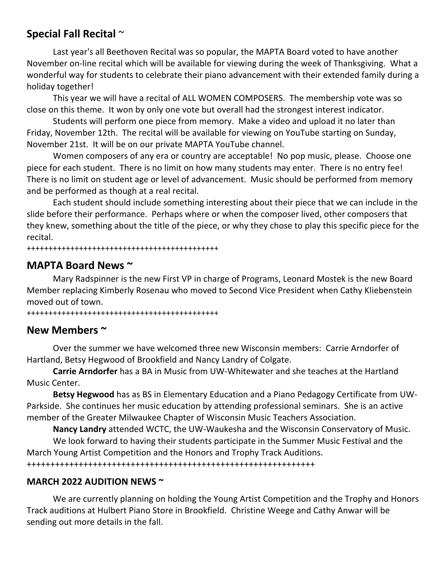# **Special Fall Recital** ~

Last year's all Beethoven Recital was so popular, the MAPTA Board voted to have another November on-line recital which will be available for viewing during the week of Thanksgiving. What a wonderful way for students to celebrate their piano advancement with their extended family during a holiday together!

This year we will have a recital of ALL WOMEN COMPOSERS. The membership vote was so close on this theme. It won by only one vote but overall had the strongest interest indicator.

Students will perform one piece from memory. Make a video and upload it no later than Friday, November 12th. The recital will be available for viewing on YouTube starting on Sunday, November 21st. It will be on our private MAPTA YouTube channel.

Women composers of any era or country are acceptable! No pop music, please. Choose one piece for each student. There is no limit on how many students may enter. There is no entry fee! There is no limit on student age or level of advancement. Music should be performed from memory and be performed as though at a real recital.

Each student should include something interesting about their piece that we can include in the slide before their performance. Perhaps where or when the composer lived, other composers that they knew, something about the title of the piece, or why they chose to play this specific piece for the recital.

++++++++++++++++++++++++++++++++++++++++++++

# **MAPTA Board News ~**

Mary Radspinner is the new First VP in charge of Programs, Leonard Mostek is the new Board Member replacing Kimberly Rosenau who moved to Second Vice President when Cathy Kliebenstein moved out of town.

++++++++++++++++++++++++++++++++++++++++++++

# **New Members ~**

Over the summer we have welcomed three new Wisconsin members: Carrie Arndorfer of Hartland, Betsy Hegwood of Brookfield and Nancy Landry of Colgate.

**Carrie Arndorfer** has a BA in Music from UW-Whitewater and she teaches at the Hartland Music Center.

**Betsy Hegwood** has as BS in Elementary Education and a Piano Pedagogy Certificate from UW-Parkside. She continues her music education by attending professional seminars. She is an active member of the Greater Milwaukee Chapter of Wisconsin Music Teachers Association.

**Nancy Landry** attended WCTC, the UW-Waukesha and the Wisconsin Conservatory of Music. We look forward to having their students participate in the Summer Music Festival and the March Young Artist Competition and the Honors and Trophy Track Auditions. +++++++++++++++++++++++++++++++++++++++++++++++++++++++++++++

## **MARCH 2022 AUDITION NEWS ~**

We are currently planning on holding the Young Artist Competition and the Trophy and Honors Track auditions at Hulbert Piano Store in Brookfield. Christine Weege and Cathy Anwar will be sending out more details in the fall.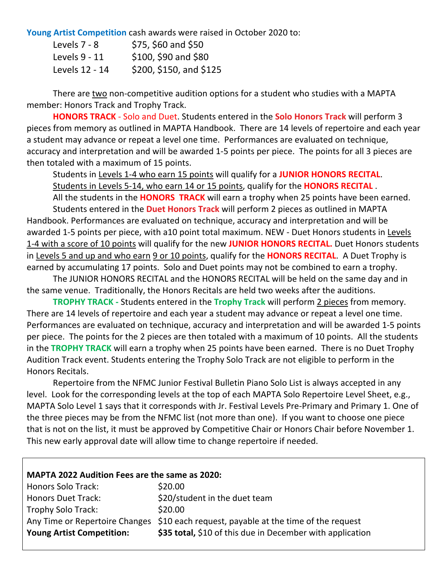**Young Artist Competition** cash awards were raised in October 2020 to:

| Levels $7 - 8$ | \$75, \$60 and \$50     |
|----------------|-------------------------|
| Levels 9 - 11  | \$100, \$90 and \$80    |
| Levels 12 - 14 | \$200, \$150, and \$125 |

There are two non-competitive audition options for a student who studies with a MAPTA member: Honors Track and Trophy Track.

**HONORS TRACK** - Solo and Duet. Students entered in the **Solo Honors Track** will perform 3 pieces from memory as outlined in MAPTA Handbook. There are 14 levels of repertoire and each year a student may advance or repeat a level one time. Performances are evaluated on technique, accuracy and interpretation and will be awarded 1-5 points per piece. The points for all 3 pieces are then totaled with a maximum of 15 points.

Students in Levels 1-4 who earn 15 points will qualify for a **JUNIOR HONORS RECITAL**. Students in Levels 5-14, who earn 14 or 15 points, qualify for the **HONORS RECITAL** .

All the students in the **HONORS TRACK** will earn a trophy when 25 points have been earned. Students entered in the **Duet Honors Track** will perform 2 pieces as outlined in MAPTA Handbook. Performances are evaluated on technique, accuracy and interpretation and will be awarded 1-5 points per piece, with a10 point total maximum. NEW - Duet Honors students in Levels 1-4 with a score of 10 points will qualify for the new **JUNIOR HONORS RECITAL.** Duet Honors students in Levels 5 and up and who earn 9 or 10 points, qualify for the **HONORS RECITAL**. A Duet Trophy is earned by accumulating 17 points. Solo and Duet points may not be combined to earn a trophy.

The JUNIOR HONORS RECITAL and the HONORS RECITAL will be held on the same day and in the same venue. Traditionally, the Honors Recitals are held two weeks after the auditions.

**TROPHY TRACK -** Students entered in the **Trophy Track** will perform 2 pieces from memory. There are 14 levels of repertoire and each year a student may advance or repeat a level one time. Performances are evaluated on technique, accuracy and interpretation and will be awarded 1-5 points per piece. The points for the 2 pieces are then totaled with a maximum of 10 points. All the students in the **TROPHY TRACK** will earn a trophy when 25 points have been earned. There is no Duet Trophy Audition Track event. Students entering the Trophy Solo Track are not eligible to perform in the Honors Recitals.

Repertoire from the NFMC Junior Festival Bulletin Piano Solo List is always accepted in any level. Look for the corresponding levels at the top of each MAPTA Solo Repertoire Level Sheet, e.g., MAPTA Solo Level 1 says that it corresponds with Jr. Festival Levels Pre-Primary and Primary 1. One of the three pieces may be from the NFMC list (not more than one). If you want to choose one piece that is not on the list, it must be approved by Competitive Chair or Honors Chair before November 1. This new early approval date will allow time to change repertoire if needed.

#### **MAPTA 2022 Audition Fees are the same as 2020:**

| Honors Solo Track:               | \$20.00                                                                              |
|----------------------------------|--------------------------------------------------------------------------------------|
| <b>Honors Duet Track:</b>        | \$20/student in the duet team                                                        |
| <b>Trophy Solo Track:</b>        | \$20.00                                                                              |
|                                  | Any Time or Repertoire Changes \$10 each request, payable at the time of the request |
| <b>Young Artist Competition:</b> | \$35 total, \$10 of this due in December with application                            |